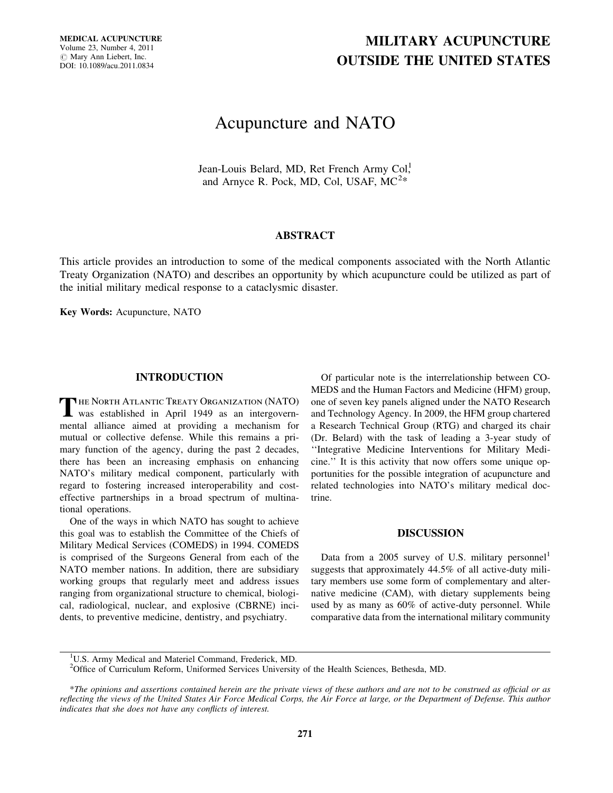MEDICAL ACUPUNCTURE Volume 23, Number 4, 2011  $\oslash$  Mary Ann Liebert, Inc. DOI: 10.1089/acu.2011.0834

# MILITARY ACUPUNCTURE OUTSIDE THE UNITED STATES

## Acupuncture and NATO

Jean-Louis Belard, MD, Ret French Army Col. and Arnyce R. Pock, MD, Col, USAF,  $MC^{2*}$ 

### ABSTRACT

This article provides an introduction to some of the medical components associated with the North Atlantic Treaty Organization (NATO) and describes an opportunity by which acupuncture could be utilized as part of the initial military medical response to a cataclysmic disaster.

Key Words: Acupuncture, NATO

#### INTRODUCTION

THE NORTH ATLANTIC TREATY ORGANIZATION (NATO)<br>was established in April 1949 as an intergovernmental alliance aimed at providing a mechanism for mutual or collective defense. While this remains a primary function of the agency, during the past 2 decades, there has been an increasing emphasis on enhancing NATO's military medical component, particularly with regard to fostering increased interoperability and costeffective partnerships in a broad spectrum of multinational operations.

One of the ways in which NATO has sought to achieve this goal was to establish the Committee of the Chiefs of Military Medical Services (COMEDS) in 1994. COMEDS is comprised of the Surgeons General from each of the NATO member nations. In addition, there are subsidiary working groups that regularly meet and address issues ranging from organizational structure to chemical, biological, radiological, nuclear, and explosive (CBRNE) incidents, to preventive medicine, dentistry, and psychiatry.

Of particular note is the interrelationship between CO-MEDS and the Human Factors and Medicine (HFM) group, one of seven key panels aligned under the NATO Research and Technology Agency. In 2009, the HFM group chartered a Research Technical Group (RTG) and charged its chair (Dr. Belard) with the task of leading a 3-year study of ''Integrative Medicine Interventions for Military Medicine.'' It is this activity that now offers some unique opportunities for the possible integration of acupuncture and related technologies into NATO's military medical doctrine.

#### DISCUSSION

Data from a 2005 survey of U.S. military personnel<sup>1</sup> suggests that approximately 44.5% of all active-duty military members use some form of complementary and alternative medicine (CAM), with dietary supplements being used by as many as 60% of active-duty personnel. While comparative data from the international military community

<sup>1</sup>U.S. Army Medical and Materiel Command, Frederick, MD.

<sup>&</sup>lt;sup>2</sup>Office of Curriculum Reform, Uniformed Services University of the Health Sciences, Bethesda, MD.

<sup>\*</sup>The opinions and assertions contained herein are the private views of these authors and are not to be construed as official or as reflecting the views of the United States Air Force Medical Corps, the Air Force at large, or the Department of Defense. This author indicates that she does not have any conflicts of interest.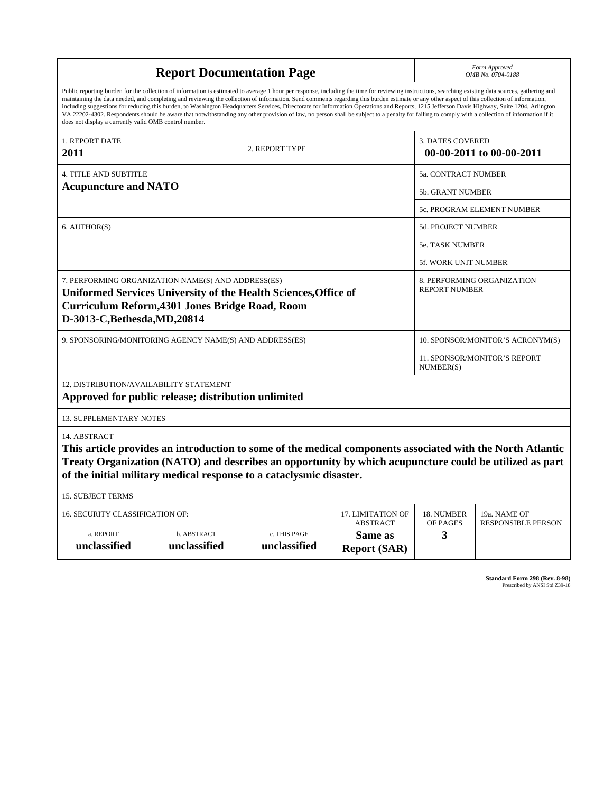| <b>Report Documentation Page</b>                                                                                                                                                                                                                                                                                                                                                                                                                                                                                                                                                                                                                                                                                                                                                                                                                                   |                             |                              |                                                     | Form Approved<br>OMB No. 0704-0188                 |                           |
|--------------------------------------------------------------------------------------------------------------------------------------------------------------------------------------------------------------------------------------------------------------------------------------------------------------------------------------------------------------------------------------------------------------------------------------------------------------------------------------------------------------------------------------------------------------------------------------------------------------------------------------------------------------------------------------------------------------------------------------------------------------------------------------------------------------------------------------------------------------------|-----------------------------|------------------------------|-----------------------------------------------------|----------------------------------------------------|---------------------------|
| Public reporting burden for the collection of information is estimated to average 1 hour per response, including the time for reviewing instructions, searching existing data sources, gathering and<br>maintaining the data needed, and completing and reviewing the collection of information. Send comments regarding this burden estimate or any other aspect of this collection of information,<br>including suggestions for reducing this burden, to Washington Headquarters Services, Directorate for Information Operations and Reports, 1215 Jefferson Davis Highway, Suite 1204, Arlington<br>VA 22202-4302. Respondents should be aware that notwithstanding any other provision of law, no person shall be subject to a penalty for failing to comply with a collection of information if it<br>does not display a currently valid OMB control number. |                             |                              |                                                     |                                                    |                           |
| <b>1. REPORT DATE</b><br>2011                                                                                                                                                                                                                                                                                                                                                                                                                                                                                                                                                                                                                                                                                                                                                                                                                                      | 2. REPORT TYPE              |                              | <b>3. DATES COVERED</b><br>00-00-2011 to 00-00-2011 |                                                    |                           |
| <b>4. TITLE AND SUBTITLE</b>                                                                                                                                                                                                                                                                                                                                                                                                                                                                                                                                                                                                                                                                                                                                                                                                                                       |                             |                              |                                                     | 5a. CONTRACT NUMBER                                |                           |
| <b>Acupuncture and NATO</b>                                                                                                                                                                                                                                                                                                                                                                                                                                                                                                                                                                                                                                                                                                                                                                                                                                        |                             |                              |                                                     | <b>5b. GRANT NUMBER</b>                            |                           |
|                                                                                                                                                                                                                                                                                                                                                                                                                                                                                                                                                                                                                                                                                                                                                                                                                                                                    |                             |                              |                                                     | 5c. PROGRAM ELEMENT NUMBER                         |                           |
| 6. AUTHOR(S)                                                                                                                                                                                                                                                                                                                                                                                                                                                                                                                                                                                                                                                                                                                                                                                                                                                       |                             |                              |                                                     | 5d. PROJECT NUMBER                                 |                           |
|                                                                                                                                                                                                                                                                                                                                                                                                                                                                                                                                                                                                                                                                                                                                                                                                                                                                    |                             |                              |                                                     | 5e. TASK NUMBER                                    |                           |
|                                                                                                                                                                                                                                                                                                                                                                                                                                                                                                                                                                                                                                                                                                                                                                                                                                                                    |                             |                              |                                                     | <b>5f. WORK UNIT NUMBER</b>                        |                           |
| 7. PERFORMING ORGANIZATION NAME(S) AND ADDRESS(ES)<br>Uniformed Services University of the Health Sciences, Office of<br>Curriculum Reform, 4301 Jones Bridge Road, Room<br>D-3013-C, Bethesda, MD, 20814                                                                                                                                                                                                                                                                                                                                                                                                                                                                                                                                                                                                                                                          |                             |                              |                                                     | 8. PERFORMING ORGANIZATION<br><b>REPORT NUMBER</b> |                           |
| 9. SPONSORING/MONITORING AGENCY NAME(S) AND ADDRESS(ES)                                                                                                                                                                                                                                                                                                                                                                                                                                                                                                                                                                                                                                                                                                                                                                                                            |                             |                              |                                                     | 10. SPONSOR/MONITOR'S ACRONYM(S)                   |                           |
|                                                                                                                                                                                                                                                                                                                                                                                                                                                                                                                                                                                                                                                                                                                                                                                                                                                                    |                             |                              |                                                     | 11. SPONSOR/MONITOR'S REPORT<br>NUMBER(S)          |                           |
| 12. DISTRIBUTION/AVAILABILITY STATEMENT<br>Approved for public release; distribution unlimited                                                                                                                                                                                                                                                                                                                                                                                                                                                                                                                                                                                                                                                                                                                                                                     |                             |                              |                                                     |                                                    |                           |
| <b>13. SUPPLEMENTARY NOTES</b>                                                                                                                                                                                                                                                                                                                                                                                                                                                                                                                                                                                                                                                                                                                                                                                                                                     |                             |                              |                                                     |                                                    |                           |
| 14. ABSTRACT<br>This article provides an introduction to some of the medical components associated with the North Atlantic<br>Treaty Organization (NATO) and describes an opportunity by which acupuncture could be utilized as part<br>of the initial military medical response to a cataclysmic disaster.                                                                                                                                                                                                                                                                                                                                                                                                                                                                                                                                                        |                             |                              |                                                     |                                                    |                           |
| <b>15. SUBJECT TERMS</b>                                                                                                                                                                                                                                                                                                                                                                                                                                                                                                                                                                                                                                                                                                                                                                                                                                           |                             |                              |                                                     |                                                    |                           |
| 16. SECURITY CLASSIFICATION OF:<br>17. LIMITATION OF                                                                                                                                                                                                                                                                                                                                                                                                                                                                                                                                                                                                                                                                                                                                                                                                               |                             |                              |                                                     | 18. NUMBER                                         | 19a. NAME OF              |
| a. REPORT<br>unclassified                                                                                                                                                                                                                                                                                                                                                                                                                                                                                                                                                                                                                                                                                                                                                                                                                                          | b. ABSTRACT<br>unclassified | c. THIS PAGE<br>unclassified | <b>ABSTRACT</b><br>Same as<br><b>Report (SAR)</b>   | OF PAGES<br>3                                      | <b>RESPONSIBLE PERSON</b> |

**Standard Form 298 (Rev. 8-98)**<br>Prescribed by ANSI Std Z39-18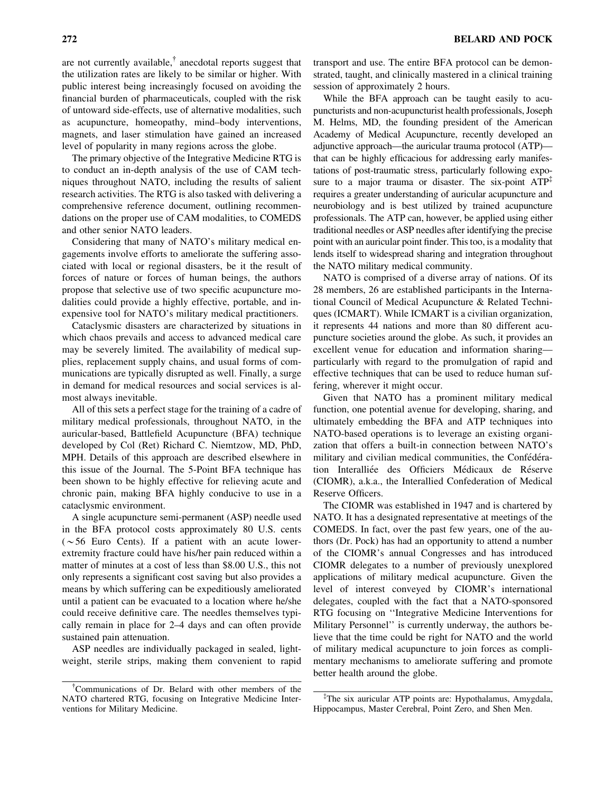are not currently available, $\phi$  anecdotal reports suggest that the utilization rates are likely to be similar or higher. With public interest being increasingly focused on avoiding the financial burden of pharmaceuticals, coupled with the risk of untoward side-effects, use of alternative modalities, such as acupuncture, homeopathy, mind–body interventions, magnets, and laser stimulation have gained an increased level of popularity in many regions across the globe.

The primary objective of the Integrative Medicine RTG is to conduct an in-depth analysis of the use of CAM techniques throughout NATO, including the results of salient research activities. The RTG is also tasked with delivering a comprehensive reference document, outlining recommendations on the proper use of CAM modalities, to COMEDS and other senior NATO leaders.

Considering that many of NATO's military medical engagements involve efforts to ameliorate the suffering associated with local or regional disasters, be it the result of forces of nature or forces of human beings, the authors propose that selective use of two specific acupuncture modalities could provide a highly effective, portable, and inexpensive tool for NATO's military medical practitioners.

Cataclysmic disasters are characterized by situations in which chaos prevails and access to advanced medical care may be severely limited. The availability of medical supplies, replacement supply chains, and usual forms of communications are typically disrupted as well. Finally, a surge in demand for medical resources and social services is almost always inevitable.

All of this sets a perfect stage for the training of a cadre of military medical professionals, throughout NATO, in the auricular-based, Battlefield Acupuncture (BFA) technique developed by Col (Ret) Richard C. Niemtzow, MD, PhD, MPH. Details of this approach are described elsewhere in this issue of the Journal. The 5-Point BFA technique has been shown to be highly effective for relieving acute and chronic pain, making BFA highly conducive to use in a cataclysmic environment.

A single acupuncture semi-permanent (ASP) needle used in the BFA protocol costs approximately 80 U.S. cents  $(\sim 56$  Euro Cents). If a patient with an acute lowerextremity fracture could have his/her pain reduced within a matter of minutes at a cost of less than \$8.00 U.S., this not only represents a significant cost saving but also provides a means by which suffering can be expeditiously ameliorated until a patient can be evacuated to a location where he/she could receive definitive care. The needles themselves typically remain in place for 2–4 days and can often provide sustained pain attenuation.

ASP needles are individually packaged in sealed, lightweight, sterile strips, making them convenient to rapid transport and use. The entire BFA protocol can be demonstrated, taught, and clinically mastered in a clinical training session of approximately 2 hours.

While the BFA approach can be taught easily to acupuncturists and non-acupuncturist health professionals, Joseph M. Helms, MD, the founding president of the American Academy of Medical Acupuncture, recently developed an adjunctive approach—the auricular trauma protocol (ATP) that can be highly efficacious for addressing early manifestations of post-traumatic stress, particularly following exposure to a major trauma or disaster. The six-point  $ATP<sup>T</sup>$ requires a greater understanding of auricular acupuncture and neurobiology and is best utilized by trained acupuncture professionals. The ATP can, however, be applied using either traditional needles or ASP needles after identifying the precise point with an auricular point finder. This too, is a modality that lends itself to widespread sharing and integration throughout the NATO military medical community.

NATO is comprised of a diverse array of nations. Of its 28 members, 26 are established participants in the International Council of Medical Acupuncture & Related Techniques (ICMART). While ICMART is a civilian organization, it represents 44 nations and more than 80 different acupuncture societies around the globe. As such, it provides an excellent venue for education and information sharing particularly with regard to the promulgation of rapid and effective techniques that can be used to reduce human suffering, wherever it might occur.

Given that NATO has a prominent military medical function, one potential avenue for developing, sharing, and ultimately embedding the BFA and ATP techniques into NATO-based operations is to leverage an existing organization that offers a built-in connection between NATO's military and civilian medical communities, the Confédération Interalliée des Officiers Médicaux de Réserve (CIOMR), a.k.a., the Interallied Confederation of Medical Reserve Officers.

The CIOMR was established in 1947 and is chartered by NATO. It has a designated representative at meetings of the COMEDS. In fact, over the past few years, one of the authors (Dr. Pock) has had an opportunity to attend a number of the CIOMR's annual Congresses and has introduced CIOMR delegates to a number of previously unexplored applications of military medical acupuncture. Given the level of interest conveyed by CIOMR's international delegates, coupled with the fact that a NATO-sponsored RTG focusing on ''Integrative Medicine Interventions for Military Personnel'' is currently underway, the authors believe that the time could be right for NATO and the world of military medical acupuncture to join forces as complimentary mechanisms to ameliorate suffering and promote better health around the globe.

<sup>{</sup> Communications of Dr. Belard with other members of the NATO chartered RTG, focusing on Integrative Medicine Interventions for Military Medicine.

<sup>{</sup> The six auricular ATP points are: Hypothalamus, Amygdala, Hippocampus, Master Cerebral, Point Zero, and Shen Men.